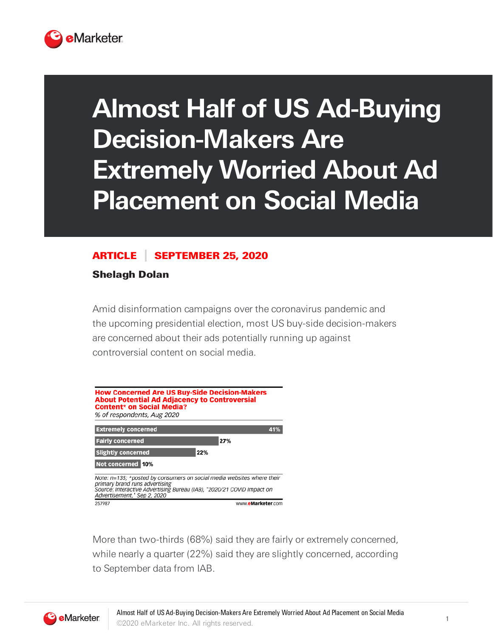

## **Almost Half of US Ad-Buying Decision-Makers Are Extremely Worried About Ad Placement on Social Media**

## ARTICLE SEPTEMBER 25, 2020

Shelagh Dolan

Amid disinformation campaigns over the coronavirus pandemic and the upcoming presidential election, most US buy-side decision-makers are concerned about their ads potentially running up against controversial content on social media.



More than two-thirds (68%) said they are fairly or extremely concerned, while nearly a quarter (22%) said they are slightly concerned, according to September data from IAB.